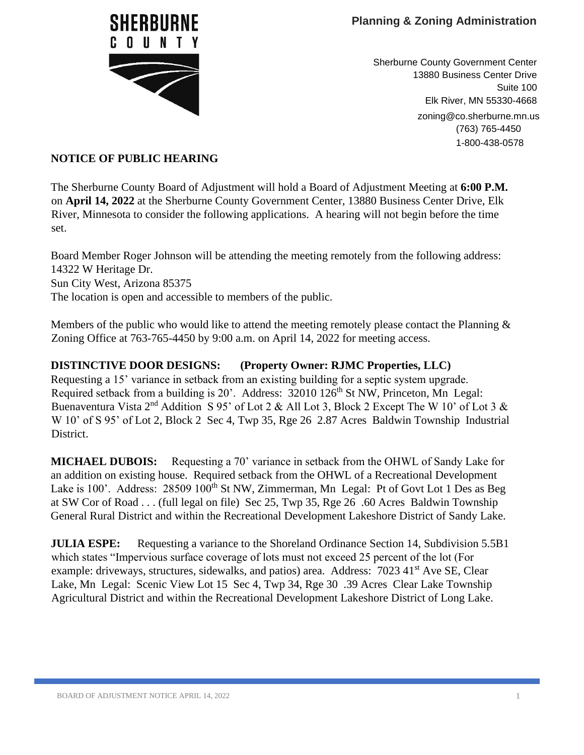

Sherburne County Government Center 13880 Business Center Drive Suite 100 Elk River, MN 55330-4668 zoning@co.sherburne.mn.us (763) 765-4450 1-800-438-0578

## **NOTICE OF PUBLIC HEARING**

The Sherburne County Board of Adjustment will hold a Board of Adjustment Meeting at **6:00 P.M.** on **April 14, 2022** at the Sherburne County Government Center, 13880 Business Center Drive, Elk River, Minnesota to consider the following applications. A hearing will not begin before the time set.

Board Member Roger Johnson will be attending the meeting remotely from the following address: 14322 W Heritage Dr. Sun City West, Arizona 85375 The location is open and accessible to members of the public.

Members of the public who would like to attend the meeting remotely please contact the Planning  $\&$ Zoning Office at 763-765-4450 by 9:00 a.m. on April 14, 2022 for meeting access.

## **DISTINCTIVE DOOR DESIGNS: (Property Owner: RJMC Properties, LLC)**

Requesting a 15' variance in setback from an existing building for a septic system upgrade. Required setback from a building is 20'. Address: 32010 126<sup>th</sup> St NW, Princeton, Mn Legal: Buenaventura Vista  $2^{nd}$  Addition S 95' of Lot 2 & All Lot 3, Block 2 Except The W 10' of Lot 3 & W 10' of S 95' of Lot 2, Block 2 Sec 4, Twp 35, Rge 26 2.87 Acres Baldwin Township Industrial District.

**MICHAEL DUBOIS:** Requesting a 70' variance in setback from the OHWL of Sandy Lake for an addition on existing house. Required setback from the OHWL of a Recreational Development Lake is 100'. Address: 28509 100<sup>th</sup> St NW, Zimmerman, Mn Legal: Pt of Govt Lot 1 Des as Beg at SW Cor of Road . . . (full legal on file) Sec 25, Twp 35, Rge 26 .60 Acres Baldwin Township General Rural District and within the Recreational Development Lakeshore District of Sandy Lake.

**JULIA ESPE:** Requesting a variance to the Shoreland Ordinance Section 14, Subdivision 5.5B1 which states "Impervious surface coverage of lots must not exceed 25 percent of the lot (For example: driveways, structures, sidewalks, and patios) area. Address: 7023 41<sup>st</sup> Ave SE, Clear Lake, Mn Legal: Scenic View Lot 15 Sec 4, Twp 34, Rge 30 .39 Acres Clear Lake Township Agricultural District and within the Recreational Development Lakeshore District of Long Lake.